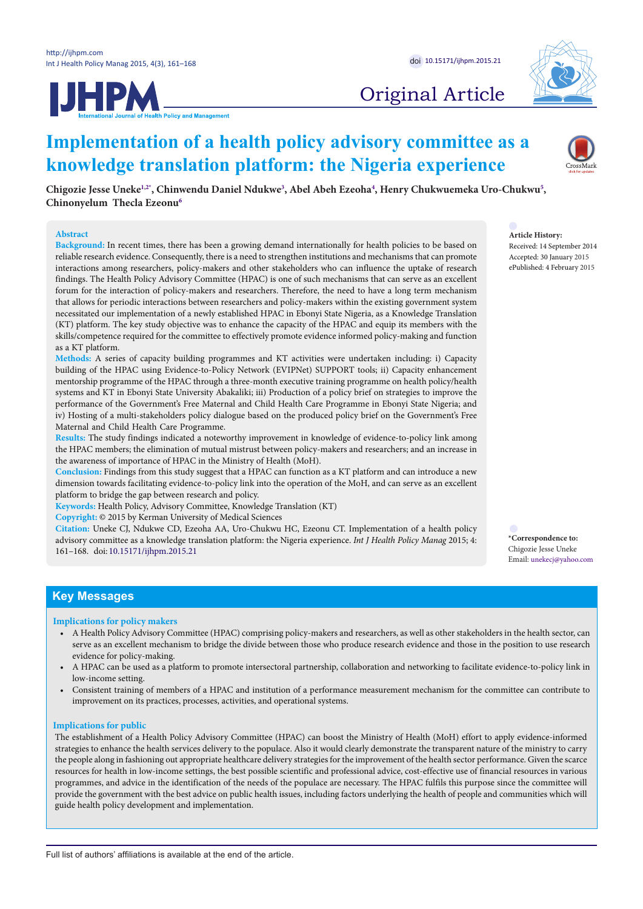



# Original Article

# **Implementation of a health policy advisory committee as a knowledge translation platform: the Nigeria experience**

**Chigozie Jesse Uneke[1](#page-6-0),[2](#page-6-1)[\\*](#page-0-0) , Chinwendu Daniel Ndukw[e3](#page-6-2) , Abel Abeh Ezeoh[a4](#page-6-3) , Henry Chukwuemeka Uro-Chukwu[5](#page-6-4) , Chinonyelum Thecla Ezeonu[6](#page-6-5)**

#### **Abstract**

**Background:** In recent times, there has been a growing demand internationally for health policies to be based on reliable research evidence. Consequently, there is a need to strengthen institutions and mechanisms that can promote interactions among researchers, policy-makers and other stakeholders who can influence the uptake of research findings. The Health Policy Advisory Committee (HPAC) is one of such mechanisms that can serve as an excellent forum for the interaction of policy-makers and researchers. Therefore, the need to have a long term mechanism that allows for periodic interactions between researchers and policy-makers within the existing government system necessitated our implementation of a newly established HPAC in Ebonyi State Nigeria, as a Knowledge Translation (KT) platform. The key study objective was to enhance the capacity of the HPAC and equip its members with the skills/competence required for the committee to effectively promote evidence informed policy-making and function as a KT platform.

**Methods:** A series of capacity building programmes and KT activities were undertaken including: i) Capacity building of the HPAC using Evidence-to-Policy Network (EVIPNet) SUPPORT tools; ii) Capacity enhancement mentorship programme of the HPAC through a three-month executive training programme on health policy/health systems and KT in Ebonyi State University Abakaliki; iii) Production of a policy brief on strategies to improve the performance of the Government's Free Maternal and Child Health Care Programme in Ebonyi State Nigeria; and iv) Hosting of a multi-stakeholders policy dialogue based on the produced policy brief on the Government's Free Maternal and Child Health Care Programme.

**Results:** The study findings indicated a noteworthy improvement in knowledge of evidence-to-policy link among the HPAC members; the elimination of mutual mistrust between policy-makers and researchers; and an increase in the awareness of importance of HPAC in the Ministry of Health (MoH).

**Conclusion:** Findings from this study suggest that a HPAC can function as a KT platform and can introduce a new dimension towards facilitating evidence-to-policy link into the operation of the MoH, and can serve as an excellent platform to bridge the gap between research and policy.

**Keywords:** Health Policy, Advisory Committee, Knowledge Translation (KT)

**Copyright:** © 2015 by Kerman University of Medical Sciences

**Citation:** Uneke CJ, Ndukwe CD, Ezeoha AA, Uro-Chukwu HC, Ezeonu CT. Implementation of a health policy advisory committee as a knowledge translation platform: the Nigeria experience. *Int J Health Policy Manag* 2015; 4: 161–168. doi: [10.15171/ijhpm.2015.21](http://dx.doi.org/10.15171/ijhpm.2015.21)

Received: 14 September 2014 Accepted: 30 January 2015 ePublished: 4 February 2015

**Article History:**

<span id="page-0-0"></span>**\*Correspondence to:** Chigozie Jesse Uneke Email: unekecj@yahoo.com

# **Key Messages**

#### **Implications for policy makers**

- A Health Policy Advisory Committee (HPAC) comprising policy-makers and researchers, as well as other stakeholders in the health sector, can serve as an excellent mechanism to bridge the divide between those who produce research evidence and those in the position to use research evidence for policy-making.
- A HPAC can be used as a platform to promote intersectoral partnership, collaboration and networking to facilitate evidence-to-policy link in low-income setting.
- Consistent training of members of a HPAC and institution of a performance measurement mechanism for the committee can contribute to improvement on its practices, processes, activities, and operational systems.

#### **Implications for public**

The establishment of a Health Policy Advisory Committee (HPAC) can boost the Ministry of Health (MoH) effort to apply evidence-informed strategies to enhance the health services delivery to the populace. Also it would clearly demonstrate the transparent nature of the ministry to carry the people along in fashioning out appropriate healthcare delivery strategies for the improvement of the health sector performance. Given the scarce resources for health in low-income settings, the best possible scientific and professional advice, cost-effective use of financial resources in various programmes, and advice in the identification of the needs of the populace are necessary. The HPAC fulfils this purpose since the committee will provide the government with the best advice on public health issues, including factors underlying the health of people and communities which will guide health policy development and implementation.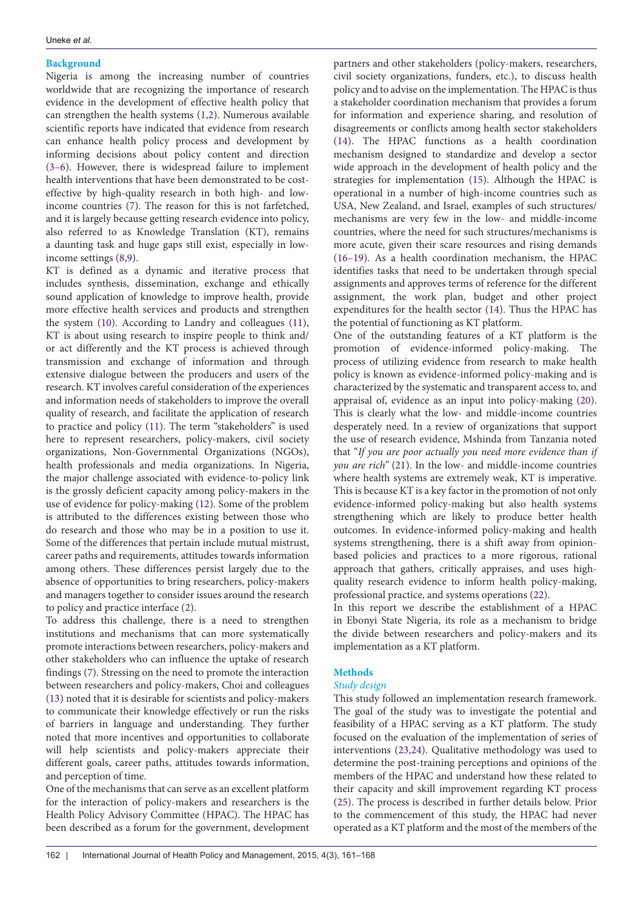## **Background**

Nigeria is among the increasing number of countries worldwide that are recognizing the importance of research evidence in the development of effective health policy that can strengthen the health systems ([1,](#page-6-6)[2\)](#page-6-7). Numerous available scientific reports have indicated that evidence from research can enhance health policy process and development by informing decisions about policy content and direction ([3–](#page-6-8)[6\)](#page-6-9). However, there is widespread failure to implement health interventions that have been demonstrated to be costeffective by high-quality research in both high- and lowincome countries ([7\)](#page-6-10). The reason for this is not farfetched, and it is largely because getting research evidence into policy, also referred to as Knowledge Translation (KT), remains a daunting task and huge gaps still exist, especially in lowincome settings ([8](#page-6-11),[9](#page-6-12)).

KT is defined as a dynamic and iterative process that includes synthesis, dissemination, exchange and ethically sound application of knowledge to improve health, provide more effective health services and products and strengthen the system ([10](#page-6-13)). According to Landry and colleagues ([11](#page-6-14)), KT is about using research to inspire people to think and/ or act differently and the KT process is achieved through transmission and exchange of information and through extensive dialogue between the producers and users of the research. KT involves careful consideration of the experiences and information needs of stakeholders to improve the overall quality of research, and facilitate the application of research to practice and policy [\(11\)](#page-6-14). The term "stakeholders" is used here to represent researchers, policy-makers, civil society organizations, Non-Governmental Organizations (NGOs), health professionals and media organizations. In Nigeria, the major challenge associated with evidence-to-policy link is the grossly deficient capacity among policy-makers in the use of evidence for policy-making [\(12](#page-6-15)). Some of the problem is attributed to the differences existing between those who do research and those who may be in a position to use it. Some of the differences that pertain include mutual mistrust, career paths and requirements, attitudes towards information among others. These differences persist largely due to the absence of opportunities to bring researchers, policy-makers and managers together to consider issues around the research to policy and practice interface [\(2](#page-6-7)).

To address this challenge, there is a need to strengthen institutions and mechanisms that can more systematically promote interactions between researchers, policy-makers and other stakeholders who can influence the uptake of research findings ([7\)](#page-6-10). Stressing on the need to promote the interaction between researchers and policy-makers, Choi and colleagues ([13](#page-6-16)) noted that it is desirable for scientists and policy-makers to communicate their knowledge effectively or run the risks of barriers in language and understanding. They further noted that more incentives and opportunities to collaborate will help scientists and policy-makers appreciate their different goals, career paths, attitudes towards information, and perception of time.

One of the mechanisms that can serve as an excellent platform for the interaction of policy-makers and researchers is the Health Policy Advisory Committee (HPAC). The HPAC has been described as a forum for the government, development

partners and other stakeholders (policy-makers, researchers, civil society organizations, funders, etc.), to discuss health policy and to advise on the implementation. The HPAC is thus a stakeholder coordination mechanism that provides a forum for information and experience sharing, and resolution of disagreements or conflicts among health sector stakeholders [\(14\)](#page-6-17). The HPAC functions as a health coordination mechanism designed to standardize and develop a sector wide approach in the development of health policy and the strategies for implementation ([15](#page-6-18)). Although the HPAC is operational in a number of high-income countries such as USA, New Zealand, and Israel, examples of such structures/ mechanisms are very few in the low- and middle-income countries, where the need for such structures/mechanisms is more acute, given their scare resources and rising demands [\(16](#page-6-19)[–19\)](#page-6-20). As a health coordination mechanism, the HPAC identifies tasks that need to be undertaken through special assignments and approves terms of reference for the different assignment, the work plan, budget and other project expenditures for the health sector ([14](#page-6-17)). Thus the HPAC has the potential of functioning as KT platform.

One of the outstanding features of a KT platform is the promotion of evidence-informed policy-making. The process of utilizing evidence from research to make health policy is known as evidence-informed policy-making and is characterized by the systematic and transparent access to, and appraisal of, evidence as an input into policy-making [\(20](#page-6-21)). This is clearly what the low- and middle-income countries desperately need. In a review of organizations that support the use of research evidence, Mshinda from Tanzania noted that "*If you are poor actually you need more evidence than if you are rich"* [\(21\)](#page-6-22). In the low- and middle-income countries where health systems are extremely weak, KT is imperative. This is because KT is a key factor in the promotion of not only evidence-informed policy-making but also health systems strengthening which are likely to produce better health outcomes. In evidence-informed policy-making and health systems strengthening, there is a shift away from opinionbased policies and practices to a more rigorous, rational approach that gathers, critically appraises, and uses highquality research evidence to inform health policy-making, professional practice, and systems operations [\(22\)](#page-6-23).

In this report we describe the establishment of a HPAC in Ebonyi State Nigeria, its role as a mechanism to bridge the divide between researchers and policy-makers and its implementation as a KT platform.

## **Methods**

## *Study design*

This study followed an implementation research framework. The goal of the study was to investigate the potential and feasibility of a HPAC serving as a KT platform. The study focused on the evaluation of the implementation of series of interventions ([23,](#page-6-24)[24](#page-6-25)). Qualitative methodology was used to determine the post-training perceptions and opinions of the members of the HPAC and understand how these related to their capacity and skill improvement regarding KT process [\(25\)](#page-6-26). The process is described in further details below. Prior to the commencement of this study, the HPAC had never operated as a KT platform and the most of the members of the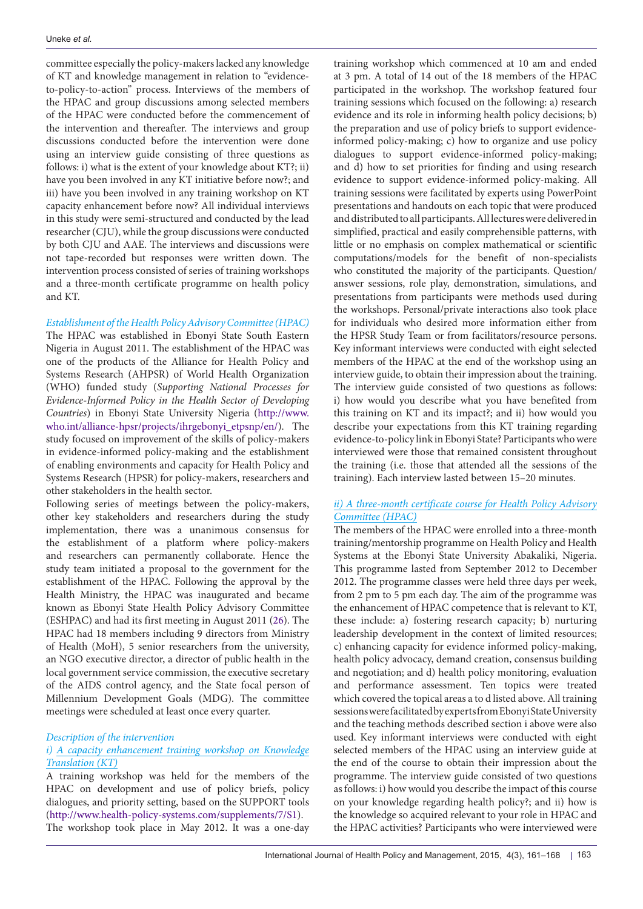committee especially the policy-makers lacked any knowledge of KT and knowledge management in relation to "evidenceto-policy-to-action" process. Interviews of the members of the HPAC and group discussions among selected members of the HPAC were conducted before the commencement of the intervention and thereafter. The interviews and group discussions conducted before the intervention were done using an interview guide consisting of three questions as follows: i) what is the extent of your knowledge about KT?; ii) have you been involved in any KT initiative before now?; and iii) have you been involved in any training workshop on KT capacity enhancement before now? All individual interviews in this study were semi-structured and conducted by the lead researcher (CJU), while the group discussions were conducted by both CJU and AAE. The interviews and discussions were not tape-recorded but responses were written down. The intervention process consisted of series of training workshops and a three-month certificate programme on health policy and KT.

## *Establishment of the Health Policy Advisory Committee (HPAC)*

The HPAC was established in Ebonyi State South Eastern Nigeria in August 2011. The establishment of the HPAC was one of the products of the Alliance for Health Policy and Systems Research (AHPSR) of World Health Organization (WHO) funded study (*Supporting National Processes for Evidence-Informed Policy in the Health Sector of Developing Countries*) in Ebonyi State University Nigeria ([http://www.](http://www.who.int/alliance-hpsr/projects/ihrgebonyi_etpsnp/en/) [who.int/alliance-hpsr/projects/ihrgebonyi\\_etpsnp/en/](http://www.who.int/alliance-hpsr/projects/ihrgebonyi_etpsnp/en/)). The study focused on improvement of the skills of policy-makers in evidence-informed policy-making and the establishment of enabling environments and capacity for Health Policy and Systems Research (HPSR) for policy-makers, researchers and other stakeholders in the health sector.

Following series of meetings between the policy-makers, other key stakeholders and researchers during the study implementation, there was a unanimous consensus for the establishment of a platform where policy-makers and researchers can permanently collaborate. Hence the study team initiated a proposal to the government for the establishment of the HPAC. Following the approval by the Health Ministry, the HPAC was inaugurated and became known as Ebonyi State Health Policy Advisory Committee (ESHPAC) and had its first meeting in August 2011 ([26\)](#page-6-27). The HPAC had 18 members including 9 directors from Ministry of Health (MoH), 5 senior researchers from the university, an NGO executive director, a director of public health in the local government service commission, the executive secretary of the AIDS control agency, and the State focal person of Millennium Development Goals (MDG). The committee meetings were scheduled at least once every quarter.

## *Description of the intervention*

## *i) A capacity enhancement training workshop on Knowledge Translation (KT)*

A training workshop was held for the members of the HPAC on development and use of policy briefs, policy dialogues, and priority setting, based on the SUPPORT tools (<http://www.health-policy-systems.com/supplements/7/S1>). The workshop took place in May 2012. It was a one-day training workshop which commenced at 10 am and ended at 3 pm. A total of 14 out of the 18 members of the HPAC participated in the workshop. The workshop featured four training sessions which focused on the following: a) research evidence and its role in informing health policy decisions; b) the preparation and use of policy briefs to support evidenceinformed policy-making; c) how to organize and use policy dialogues to support evidence-informed policy-making; and d) how to set priorities for finding and using research evidence to support evidence-informed policy-making. All training sessions were facilitated by experts using PowerPoint presentations and handouts on each topic that were produced and distributed to all participants. All lectures were delivered in simplified, practical and easily comprehensible patterns, with little or no emphasis on complex mathematical or scientific computations/models for the benefit of non-specialists who constituted the majority of the participants. Question/ answer sessions, role play, demonstration, simulations, and presentations from participants were methods used during the workshops. Personal/private interactions also took place for individuals who desired more information either from the HPSR Study Team or from facilitators/resource persons. Key informant interviews were conducted with eight selected members of the HPAC at the end of the workshop using an interview guide, to obtain their impression about the training. The interview guide consisted of two questions as follows: i) how would you describe what you have benefited from this training on KT and its impact?; and ii) how would you describe your expectations from this KT training regarding evidence-to-policy link in Ebonyi State? Participants who were interviewed were those that remained consistent throughout the training (i.e. those that attended all the sessions of the training). Each interview lasted between 15–20 minutes.

# *ii) A three-month certificate course for Health Policy Advisory Committee (HPAC)*

The members of the HPAC were enrolled into a three-month training/mentorship programme on Health Policy and Health Systems at the Ebonyi State University Abakaliki, Nigeria. This programme lasted from September 2012 to December 2012. The programme classes were held three days per week, from 2 pm to 5 pm each day. The aim of the programme was the enhancement of HPAC competence that is relevant to KT, these include: a) fostering research capacity; b) nurturing leadership development in the context of limited resources; c) enhancing capacity for evidence informed policy-making, health policy advocacy, demand creation, consensus building and negotiation; and d) health policy monitoring, evaluation and performance assessment. Ten topics were treated which covered the topical areas a to d listed above. All training sessions were facilitated by experts from Ebonyi State University and the teaching methods described section i above were also used. Key informant interviews were conducted with eight selected members of the HPAC using an interview guide at the end of the course to obtain their impression about the programme. The interview guide consisted of two questions as follows: i) how would you describe the impact of this course on your knowledge regarding health policy?; and ii) how is the knowledge so acquired relevant to your role in HPAC and the HPAC activities? Participants who were interviewed were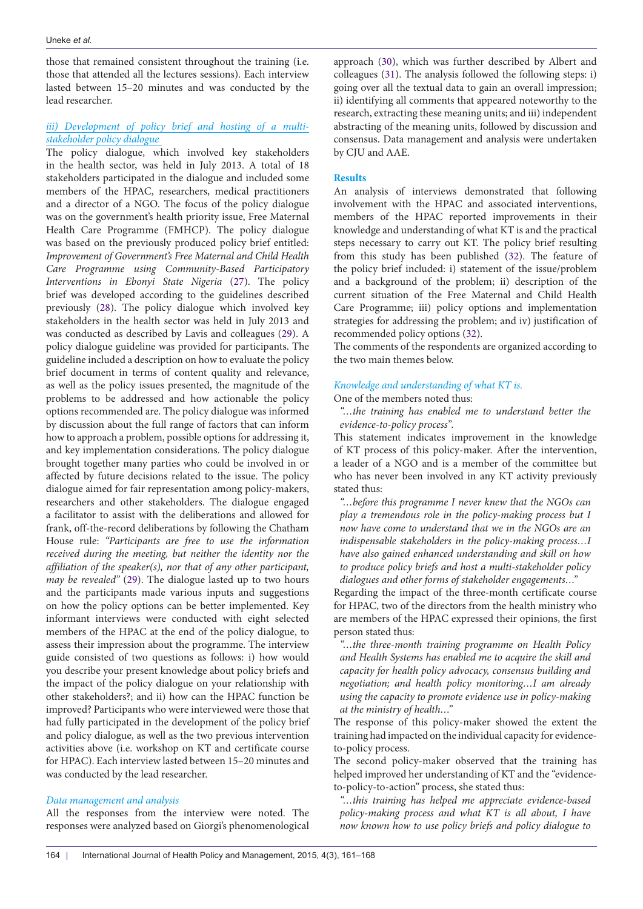those that remained consistent throughout the training (i.e. those that attended all the lectures sessions). Each interview lasted between 15–20 minutes and was conducted by the lead researcher.

## *iii) Development of policy brief and hosting of a multistakeholder policy dialogue*

The policy dialogue, which involved key stakeholders in the health sector, was held in July 2013. A total of 18 stakeholders participated in the dialogue and included some members of the HPAC, researchers, medical practitioners and a director of a NGO. The focus of the policy dialogue was on the government's health priority issue, Free Maternal Health Care Programme (FMHCP). The policy dialogue was based on the previously produced policy brief entitled: *Improvement of Government's Free Maternal and Child Health Care Programme using Community-Based Participatory Interventions in Ebonyi State Nigeria* [\(27](#page-6-28)). The policy brief was developed according to the guidelines described previously ([28](#page-6-29)). The policy dialogue which involved key stakeholders in the health sector was held in July 2013 and was conducted as described by Lavis and colleagues ([29](#page-6-30)). A policy dialogue guideline was provided for participants. The guideline included a description on how to evaluate the policy brief document in terms of content quality and relevance, as well as the policy issues presented, the magnitude of the problems to be addressed and how actionable the policy options recommended are. The policy dialogue was informed by discussion about the full range of factors that can inform how to approach a problem, possible options for addressing it, and key implementation considerations. The policy dialogue brought together many parties who could be involved in or affected by future decisions related to the issue. The policy dialogue aimed for fair representation among policy-makers, researchers and other stakeholders. The dialogue engaged a facilitator to assist with the deliberations and allowed for frank, off-the-record deliberations by following the Chatham House rule: *"Participants are free to use the information received during the meeting, but neither the identity nor the affiliation of the speaker(s), nor that of any other participant, may be revealed"* ([29](#page-6-30)). The dialogue lasted up to two hours and the participants made various inputs and suggestions on how the policy options can be better implemented. Key informant interviews were conducted with eight selected members of the HPAC at the end of the policy dialogue, to assess their impression about the programme. The interview guide consisted of two questions as follows: i) how would you describe your present knowledge about policy briefs and the impact of the policy dialogue on your relationship with other stakeholders?; and ii) how can the HPAC function be improved? Participants who were interviewed were those that had fully participated in the development of the policy brief and policy dialogue, as well as the two previous intervention activities above (i.e. workshop on KT and certificate course for HPAC). Each interview lasted between 15–20 minutes and was conducted by the lead researcher.

## *Data management and analysis*

All the responses from the interview were noted. The responses were analyzed based on Giorgi's phenomenological

approach [\(30](#page-6-31)), which was further described by Albert and colleagues [\(31](#page-7-0)). The analysis followed the following steps: i) going over all the textual data to gain an overall impression; ii) identifying all comments that appeared noteworthy to the research, extracting these meaning units; and iii) independent abstracting of the meaning units, followed by discussion and consensus. Data management and analysis were undertaken by CJU and AAE.

#### **Results**

An analysis of interviews demonstrated that following involvement with the HPAC and associated interventions, members of the HPAC reported improvements in their knowledge and understanding of what KT is and the practical steps necessary to carry out KT. The policy brief resulting from this study has been published ([32\)](#page-7-1). The feature of the policy brief included: i) statement of the issue/problem and a background of the problem; ii) description of the current situation of the Free Maternal and Child Health Care Programme; iii) policy options and implementation strategies for addressing the problem; and iv) justification of recommended policy options ([32](#page-7-1)).

The comments of the respondents are organized according to the two main themes below.

#### *Knowledge and understanding of what KT is.*

#### One of the members noted thus:

*"…the training has enabled me to understand better the evidence-to-policy process".* 

This statement indicates improvement in the knowledge of KT process of this policy-maker. After the intervention, a leader of a NGO and is a member of the committee but who has never been involved in any KT activity previously stated thus:

*"…before this programme I never knew that the NGOs can play a tremendous role in the policy-making process but I now have come to understand that we in the NGOs are an indispensable stakeholders in the policy-making process…I have also gained enhanced understanding and skill on how to produce policy briefs and host a multi-stakeholder policy dialogues and other forms of stakeholder engagements…"*

Regarding the impact of the three-month certificate course for HPAC, two of the directors from the health ministry who are members of the HPAC expressed their opinions, the first person stated thus:

*"…the three-month training programme on Health Policy and Health Systems has enabled me to acquire the skill and capacity for health policy advocacy, consensus building and negotiation; and health policy monitoring…I am already using the capacity to promote evidence use in policy-making at the ministry of health…"* 

The response of this policy-maker showed the extent the training had impacted on the individual capacity for evidenceto-policy process.

The second policy-maker observed that the training has helped improved her understanding of KT and the "evidenceto-policy-to-action" process, she stated thus:

*"…this training has helped me appreciate evidence-based policy-making process and what KT is all about, I have now known how to use policy briefs and policy dialogue to*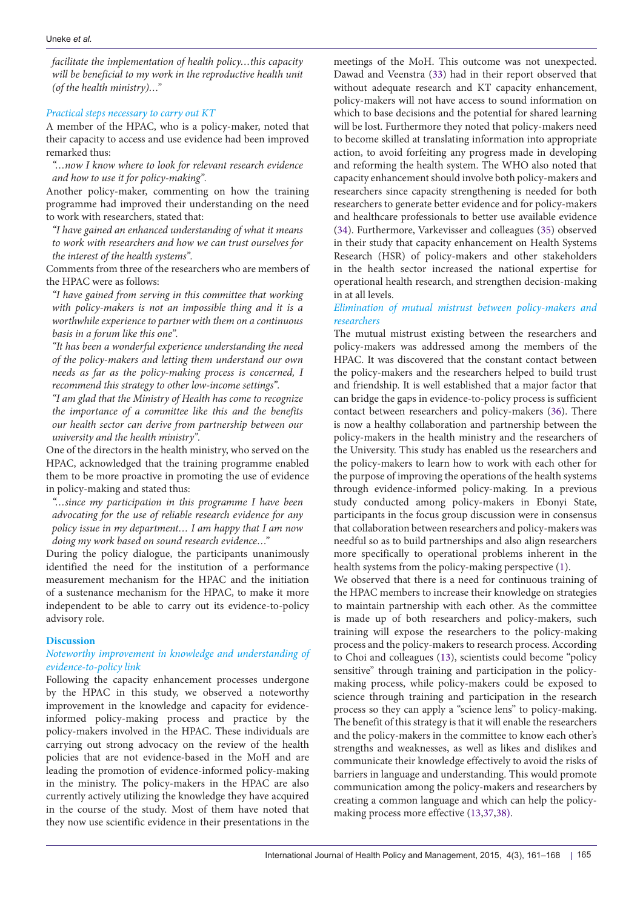*facilitate the implementation of health policy…this capacity will be beneficial to my work in the reproductive health unit (of the health ministry)…"* 

#### *Practical steps necessary to carry out KT*

A member of the HPAC, who is a policy-maker, noted that their capacity to access and use evidence had been improved remarked thus:

*"…now I know where to look for relevant research evidence and how to use it for policy-making".*

Another policy-maker, commenting on how the training programme had improved their understanding on the need to work with researchers, stated that:

*"I have gained an enhanced understanding of what it means to work with researchers and how we can trust ourselves for the interest of the health systems".*

Comments from three of the researchers who are members of the HPAC were as follows:

*"I have gained from serving in this committee that working with policy-makers is not an impossible thing and it is a worthwhile experience to partner with them on a continuous basis in a forum like this one".*

*"It has been a wonderful experience understanding the need of the policy-makers and letting them understand our own needs as far as the policy-making process is concerned, I recommend this strategy to other low-income settings".*

*"I am glad that the Ministry of Health has come to recognize the importance of a committee like this and the benefits our health sector can derive from partnership between our university and the health ministry".*

One of the directors in the health ministry, who served on the HPAC, acknowledged that the training programme enabled them to be more proactive in promoting the use of evidence in policy-making and stated thus:

*"…since my participation in this programme I have been advocating for the use of reliable research evidence for any policy issue in my department… I am happy that I am now doing my work based on sound research evidence…"*

During the policy dialogue, the participants unanimously identified the need for the institution of a performance measurement mechanism for the HPAC and the initiation of a sustenance mechanism for the HPAC, to make it more independent to be able to carry out its evidence-to-policy advisory role.

## **Discussion**

## *Noteworthy improvement in knowledge and understanding of evidence-to-policy link*

Following the capacity enhancement processes undergone by the HPAC in this study, we observed a noteworthy improvement in the knowledge and capacity for evidenceinformed policy-making process and practice by the policy-makers involved in the HPAC. These individuals are carrying out strong advocacy on the review of the health policies that are not evidence-based in the MoH and are leading the promotion of evidence-informed policy-making in the ministry. The policy-makers in the HPAC are also currently actively utilizing the knowledge they have acquired in the course of the study. Most of them have noted that they now use scientific evidence in their presentations in the

meetings of the MoH. This outcome was not unexpected. Dawad and Veenstra [\(33](#page-7-2)) had in their report observed that without adequate research and KT capacity enhancement, policy-makers will not have access to sound information on which to base decisions and the potential for shared learning will be lost. Furthermore they noted that policy-makers need to become skilled at translating information into appropriate action, to avoid forfeiting any progress made in developing and reforming the health system. The WHO also noted that capacity enhancement should involve both policy-makers and researchers since capacity strengthening is needed for both researchers to generate better evidence and for policy-makers and healthcare professionals to better use available evidence [\(34](#page-7-3)). Furthermore, Varkevisser and colleagues ([35](#page-7-4)) observed in their study that capacity enhancement on Health Systems Research (HSR) of policy-makers and other stakeholders in the health sector increased the national expertise for operational health research, and strengthen decision-making in at all levels.

## *Elimination of mutual mistrust between policy-makers and researchers*

The mutual mistrust existing between the researchers and policy-makers was addressed among the members of the HPAC. It was discovered that the constant contact between the policy-makers and the researchers helped to build trust and friendship. It is well established that a major factor that can bridge the gaps in evidence-to-policy process is sufficient contact between researchers and policy-makers [\(36\)](#page-7-5). There is now a healthy collaboration and partnership between the policy-makers in the health ministry and the researchers of the University. This study has enabled us the researchers and the policy-makers to learn how to work with each other for the purpose of improving the operations of the health systems through evidence-informed policy-making. In a previous study conducted among policy-makers in Ebonyi State, participants in the focus group discussion were in consensus that collaboration between researchers and policy-makers was needful so as to build partnerships and also align researchers more specifically to operational problems inherent in the health systems from the policy-making perspective [\(1\)](#page-6-6).

We observed that there is a need for continuous training of the HPAC members to increase their knowledge on strategies to maintain partnership with each other. As the committee is made up of both researchers and policy-makers, such training will expose the researchers to the policy-making process and the policy-makers to research process. According to Choi and colleagues ([13](#page-6-16)), scientists could become ''policy sensitive'' through training and participation in the policymaking process, while policy-makers could be exposed to science through training and participation in the research process so they can apply a ''science lens'' to policy-making. The benefit of this strategy is that it will enable the researchers and the policy-makers in the committee to know each other's strengths and weaknesses, as well as likes and dislikes and communicate their knowledge effectively to avoid the risks of barriers in language and understanding. This would promote communication among the policy-makers and researchers by creating a common language and which can help the policymaking process more effective ([13](#page-6-16),[37](#page-7-6),[38](#page-7-7)).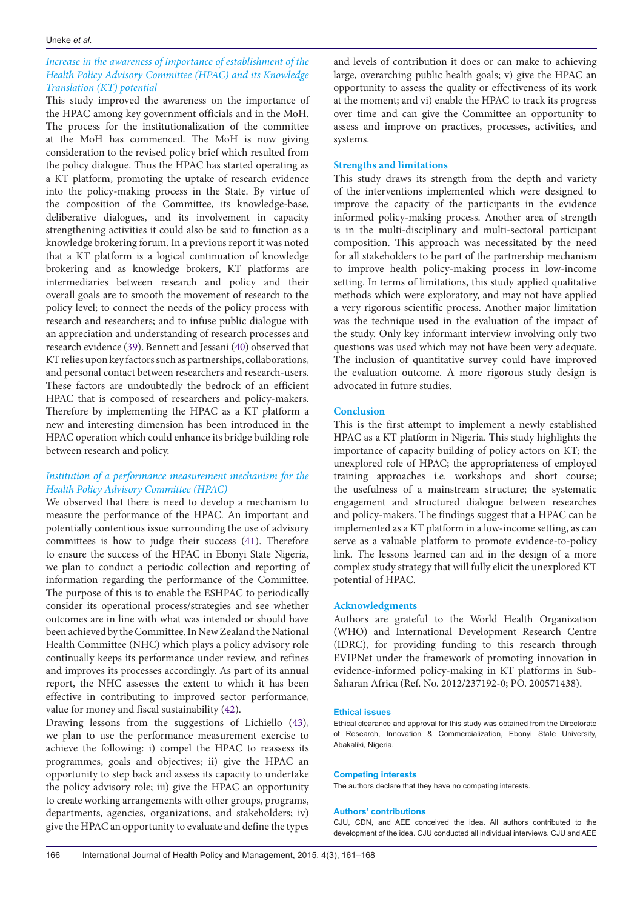# *Increase in the awareness of importance of establishment of the Health Policy Advisory Committee (HPAC) and its Knowledge Translation (KT) potential*

This study improved the awareness on the importance of the HPAC among key government officials and in the MoH. The process for the institutionalization of the committee at the MoH has commenced. The MoH is now giving consideration to the revised policy brief which resulted from the policy dialogue. Thus the HPAC has started operating as a KT platform, promoting the uptake of research evidence into the policy-making process in the State. By virtue of the composition of the Committee, its knowledge-base, deliberative dialogues, and its involvement in capacity strengthening activities it could also be said to function as a knowledge brokering forum. In a previous report it was noted that a KT platform is a logical continuation of knowledge brokering and as knowledge brokers, KT platforms are intermediaries between research and policy and their overall goals are to smooth the movement of research to the policy level; to connect the needs of the policy process with research and researchers; and to infuse public dialogue with an appreciation and understanding of research processes and research evidence ([39](#page-7-8)). Bennett and Jessani ([40](#page-7-9)) observed that KT relies upon key factors such as partnerships, collaborations, and personal contact between researchers and research-users. These factors are undoubtedly the bedrock of an efficient HPAC that is composed of researchers and policy-makers. Therefore by implementing the HPAC as a KT platform a new and interesting dimension has been introduced in the HPAC operation which could enhance its bridge building role between research and policy.

# *Institution of a performance measurement mechanism for the Health Policy Advisory Committee (HPAC)*

We observed that there is need to develop a mechanism to measure the performance of the HPAC. An important and potentially contentious issue surrounding the use of advisory committees is how to judge their success ([41](#page-7-10)). Therefore to ensure the success of the HPAC in Ebonyi State Nigeria, we plan to conduct a periodic collection and reporting of information regarding the performance of the Committee. The purpose of this is to enable the ESHPAC to periodically consider its operational process/strategies and see whether outcomes are in line with what was intended or should have been achieved by the Committee. In New Zealand the National Health Committee (NHC) which plays a policy advisory role continually keeps its performance under review, and refines and improves its processes accordingly. As part of its annual report, the NHC assesses the extent to which it has been effective in contributing to improved sector performance, value for money and fiscal sustainability [\(42\)](#page-7-11).

Drawing lessons from the suggestions of Lichiello ([43](#page-7-12)), we plan to use the performance measurement exercise to achieve the following: i) compel the HPAC to reassess its programmes, goals and objectives; ii) give the HPAC an opportunity to step back and assess its capacity to undertake the policy advisory role; iii) give the HPAC an opportunity to create working arrangements with other groups, programs, departments, agencies, organizations, and stakeholders; iv) give the HPAC an opportunity to evaluate and define the types

and levels of contribution it does or can make to achieving large, overarching public health goals; v) give the HPAC an opportunity to assess the quality or effectiveness of its work at the moment; and vi) enable the HPAC to track its progress over time and can give the Committee an opportunity to assess and improve on practices, processes, activities, and systems.

#### **Strengths and limitations**

This study draws its strength from the depth and variety of the interventions implemented which were designed to improve the capacity of the participants in the evidence informed policy-making process. Another area of strength is in the multi-disciplinary and multi-sectoral participant composition. This approach was necessitated by the need for all stakeholders to be part of the partnership mechanism to improve health policy-making process in low-income setting. In terms of limitations, this study applied qualitative methods which were exploratory, and may not have applied a very rigorous scientific process. Another major limitation was the technique used in the evaluation of the impact of the study. Only key informant interview involving only two questions was used which may not have been very adequate. The inclusion of quantitative survey could have improved the evaluation outcome. A more rigorous study design is advocated in future studies.

#### **Conclusion**

This is the first attempt to implement a newly established HPAC as a KT platform in Nigeria. This study highlights the importance of capacity building of policy actors on KT; the unexplored role of HPAC; the appropriateness of employed training approaches i.e. workshops and short course; the usefulness of a mainstream structure; the systematic engagement and structured dialogue between researches and policy-makers. The findings suggest that a HPAC can be implemented as a KT platform in a low-income setting, as can serve as a valuable platform to promote evidence-to-policy link. The lessons learned can aid in the design of a more complex study strategy that will fully elicit the unexplored KT potential of HPAC.

#### **Acknowledgments**

Authors are grateful to the World Health Organization (WHO) and International Development Research Centre (IDRC), for providing funding to this research through EVIPNet under the framework of promoting innovation in evidence-informed policy-making in KT platforms in Sub-Saharan Africa (Ref. No. 2012/237192-0; PO. 200571438).

#### **Ethical issues**

Ethical clearance and approval for this study was obtained from the Directorate of Research, Innovation & Commercialization, Ebonyi State University, Abakaliki, Nigeria.

#### **Competing interests**

The authors declare that they have no competing interests.

#### **Authors' contributions**

CJU, CDN, and AEE conceived the idea. All authors contributed to the development of the idea. CJU conducted all individual interviews. CJU and AEE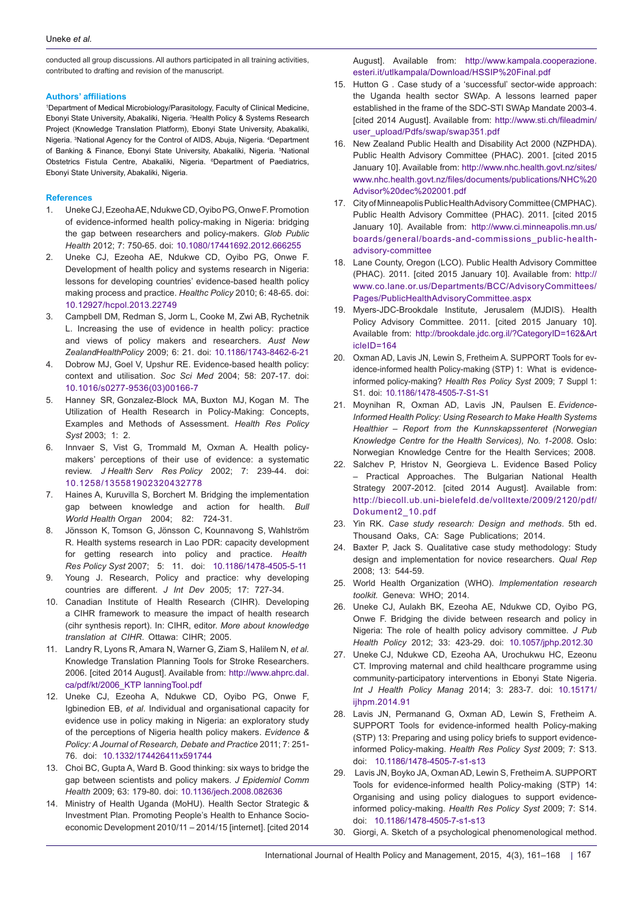conducted all group discussions. All authors participated in all training activities, contributed to drafting and revision of the manuscript.

#### **Authors' affiliations**

<span id="page-6-4"></span><span id="page-6-3"></span><span id="page-6-2"></span><span id="page-6-1"></span><span id="page-6-0"></span>1 Department of Medical Microbiology/Parasitology, Faculty of Clinical Medicine, Ebonyi State University, Abakaliki, Nigeria. <sup>2</sup> Health Policy & Systems Research Project (Knowledge Translation Platform), Ebonyi State University, Abakaliki, Nigeria. <sup>3</sup>National Agency for the Control of AIDS, Abuja, Nigeria. <sup>4</sup>Department of Banking & Finance, Ebonyi State University, Abakaliki, Nigeria. <sup>5</sup> National Obstetrics Fistula Centre, Abakaliki, Nigeria. <sup>6</sup>Department of Paediatrics, Ebonyi State University, Abakaliki, Nigeria.

#### <span id="page-6-5"></span>**References**

- <span id="page-6-6"></span>1. Uneke CJ, Ezeoha AE, Ndukwe CD, Oyibo PG, Onwe F. Promotion of evidence-informed health policy-making in Nigeria: bridging the gap between researchers and policy-makers. *Glob Public Health* 2012; 7: 750-65. doi: [10.1080/17441692.2012.666255](http://dx.doi.org/10.1080/17441692.2012.666255)
- <span id="page-6-7"></span>2. Uneke CJ, Ezeoha AE, Ndukwe CD, Oyibo PG, Onwe F. Development of health policy and systems research in Nigeria: lessons for developing countries' evidence-based health policy making process and practice. *Healthc Policy* 2010; 6: 48-65. doi: [10.12927/hcpol.2013.22749](http://dx.doi.org/10.12927/hcpol.2013.22749)
- <span id="page-6-8"></span>3. Campbell DM, Redman S, Jorm L, Cooke M, Zwi AB, Rychetnik L. Increasing the use of evidence in health policy: practice and views of policy makers and researchers. *Aust New ZealandHealthPolicy* 2009; 6: 21. doi: [10.1186/1743-8462-6-21](http://dx.doi.org/10.1186/1743-8462-6-21)
- 4. Dobrow MJ, Goel V, Upshur RE. Evidence-based health policy: context and utilisation. *Soc Sci Med* 2004; 58: 207-17. doi: [10.1016/s0277-9536\(03\)00166-7](http://dx.doi.org/10.1016/s0277-9536(03)00166-7)
- 5. Hanney SR, Gonzalez-Block MA, Buxton MJ, Kogan M. The Utilization of Health Research in Policy-Making: Concepts, Examples and Methods of Assessment. *Health Res Policy Syst* 2003; 1: 2.
- <span id="page-6-9"></span>6. Innvaer S, Vist G, Trommald M, Oxman A. Health policymakers' perceptions of their use of evidence: a systematic review. *J Health Serv Res Policy* 2002; 7: 239-44. doi: [10.1258/135581902320432778](http://dx.doi.org/10.1258/135581902320432778)
- <span id="page-6-10"></span>7. Haines A, Kuruvilla S, Borchert M. Bridging the implementation gap between knowledge and action for health. *Bull World Health Organ* 2004; 82: 724-31.
- <span id="page-6-11"></span>8. Jönsson K, Tomson G, Jönsson C, Kounnavong S, Wahlström R. Health systems research in Lao PDR: capacity development for getting research into policy and practice. *Health Res Policy Syst* 2007; 5: 11. doi: [10.1186/1478-4505-5-11](http://dx.doi.org/10.1186/1478-4505-5-11)
- <span id="page-6-12"></span>9. Young J. Research, Policy and practice: why developing countries are different. *J Int Dev* 2005; 17: 727-34.
- <span id="page-6-13"></span>10. Canadian Institute of Health Research (CIHR). Developing a CIHR framework to measure the impact of health research (cihr synthesis report). In: CIHR, editor. *More about knowledge translation at CIHR*. Ottawa: CIHR; 2005.
- <span id="page-6-14"></span>11. Landry R, Lyons R, Amara N, Warner G, Ziam S, Halilem N, *et al.* Knowledge Translation Planning Tools for Stroke Researchers. 2006. [cited 2014 August]. Available from: [http://www.ahprc.dal.](http://www.ahprc.dal.ca/pdf/kt/2006_KTP lanningTool.pdf) [ca/pdf/kt/2006\\_KTP lanningTool.pdf](http://www.ahprc.dal.ca/pdf/kt/2006_KTP lanningTool.pdf)
- <span id="page-6-15"></span>12. Uneke CJ, Ezeoha A, Ndukwe CD, Oyibo PG, Onwe F, Igbinedion EB, *et al*. Individual and organisational capacity for evidence use in policy making in Nigeria: an exploratory study of the perceptions of Nigeria health policy makers. *Evidence & Policy: A Journal of Research, Debate and Practice* 2011; 7: 251- 76. doi: [10.1332/174426411x591744](http://dx.doi.org/10.1332/174426411x591744)
- <span id="page-6-16"></span>13. Choi BC, Gupta A, Ward B. Good thinking: six ways to bridge the gap between scientists and policy makers. *J Epidemiol Comm Health* 2009; 63: 179-80. doi: [10.1136/jech.2008.082636](http://dx.doi.org/10.1136/jech.2008.082636)
- <span id="page-6-17"></span>14. Ministry of Health Uganda (MoHU). Health Sector Strategic & Investment Plan. Promoting People's Health to Enhance Socioeconomic Development 2010/11 – 2014/15 [internet]. [cited 2014

<span id="page-6-18"></span>August]. Available from: [http://www.kampala.cooperazione.](http://www.kampala.cooperazione.esteri.it/utlkampala/Download/HSSIP Final.pdf) [esteri.it/utlkampala/Download/HSSIP%20Final.pdf](http://www.kampala.cooperazione.esteri.it/utlkampala/Download/HSSIP Final.pdf)

- 15. Hutton G . Case study of a 'successful' sector-wide approach: the Uganda health sector SWAp. A lessons learned paper established in the frame of the SDC-STI SWAp Mandate 2003-4. [cited 2014 August]. Available from: [http://www.sti.ch/fileadmin/](http://www.sti.ch/fileadmin/user_upload/Pdfs/swap/swap351.pdf) [user\\_upload/Pdfs/swap/swap351.pdf](http://www.sti.ch/fileadmin/user_upload/Pdfs/swap/swap351.pdf)
- <span id="page-6-19"></span>16. New Zealand Public Health and Disability Act 2000 (NZPHDA). Public Health Advisory Committee (PHAC). 2001. [cited 2015 January 10]. Available from: [http://www.nhc.health.govt.nz/sites/](http://www.nhc.health.govt.nz/sites/www.nhc.health.govt.nz/files/documents/publications/NHC Advisor dec 2001.pdf) [www.nhc.health.govt.nz/files/documents/publications/NHC%](http://www.nhc.health.govt.nz/sites/www.nhc.health.govt.nz/files/documents/publications/NHC Advisor dec 2001.pdf)20 [Advisor%20dec%202001.pdf](http://www.nhc.health.govt.nz/sites/www.nhc.health.govt.nz/files/documents/publications/NHC Advisor dec 2001.pdf)
- 17. City of Minneapolis Public Health Advisory Committee (CMPHAC). Public Health Advisory Committee (PHAC). 2011. [cited 2015 January 10]. Available from: [http://www.ci.minneapolis.mn.us/](http://www.ci.minneapolis.mn.us/boards/general/boards-and-commissions_public-health-advisory-committ) [boards/general/boards-and-commissions\\_public-health](http://www.ci.minneapolis.mn.us/boards/general/boards-and-commissions_public-health-advisory-committ)[advisory-committee](http://www.ci.minneapolis.mn.us/boards/general/boards-and-commissions_public-health-advisory-committ)
- 18. Lane County, Oregon (LCO). Public Health Advisory Committee (PHAC). 2011. [cited 2015 January 10]. Available from: [http://](http://www.co.lane.or.us/Departments/BCC/AdvisoryCommittees/Pages/PublicHealthAdvisoryCommittee.aspx) [www.co.lane.or.us/Departments/BCC/AdvisoryCommittees/](http://www.co.lane.or.us/Departments/BCC/AdvisoryCommittees/Pages/PublicHealthAdvisoryCommittee.aspx) [Pages/PublicHealthAdvisoryCommittee.aspx](http://www.co.lane.or.us/Departments/BCC/AdvisoryCommittees/Pages/PublicHealthAdvisoryCommittee.aspx)
- <span id="page-6-20"></span>19. Myers-JDC-Brookdale Institute, Jerusalem (MJDIS). Health Policy Advisory Committee. 2011. [cited 2015 January 10]. Available from: [http://brookdale.jdc.org.il/?CategoryID=162&Art](http://brookdale.jdc.org.il/?CategoryID=162&ArticleID=164) [icleID=164](http://brookdale.jdc.org.il/?CategoryID=162&ArticleID=164)
- <span id="page-6-21"></span>20. Oxman AD, Lavis JN, Lewin S, Fretheim A. SUPPORT Tools for evidence-informed health Policy-making (STP) 1: What is evidenceinformed policy-making? *Health Res Policy Syst* 2009; 7 Suppl 1: S1. doi: [10.1186/1478-4505-7-S1-S1](http://dx.doi.org/10.1186/1478-4505-7-S1-S1)
- <span id="page-6-22"></span>21. Moynihan R, Oxman AD, Lavis JN, Paulsen E. *Evidence-Informed Health Policy: Using Research to Make Health Systems Healthier – Report from the Kunnskapssenteret (Norwegian Knowledge Centre for the Health Services), No. 1-2008*. Oslo: Norwegian Knowledge Centre for the Health Services; 2008.
- <span id="page-6-23"></span>22. Salchev P, Hristov N, Georgieva L. Evidence Based Policy – Practical Approaches. The Bulgarian National Health Strategy 2007-2012. [cited 2014 August]. Available from: [http://biecoll.ub.uni-bielefeld.de/volltexte/2009/2120/pdf/](http://biecoll.ub.uni-bielefeld.de/volltexte/2009/2120/pdf/Dokument2_10.pdf) [Dokument2\\_10.pdf](http://biecoll.ub.uni-bielefeld.de/volltexte/2009/2120/pdf/Dokument2_10.pdf)
- <span id="page-6-24"></span>23. Yin RK. *Case study research: Design and methods*. 5th ed. Thousand Oaks, CA: Sage Publications; 2014.
- <span id="page-6-25"></span>24. Baxter P, Jack S. Qualitative case study methodology: Study design and implementation for novice researchers. *Qual Rep*  2008; 13: 544-59.
- <span id="page-6-26"></span>25. World Health Organization (WHO). *Implementation research toolkit.* Geneva: WHO; 2014.
- <span id="page-6-27"></span>26. Uneke CJ, Aulakh BK, Ezeoha AE, Ndukwe CD, Oyibo PG, Onwe F. Bridging the divide between research and policy in Nigeria: The role of health policy advisory committee. *J Pub Health Policy* 2012; 33: 423-29. doi: [10.1057/jphp.2012.30](http://dx.doi.org/10.1057/jphp.2012.30)
- <span id="page-6-28"></span>27. Uneke CJ, Ndukwe CD, Ezeoha AA, Urochukwu HC, Ezeonu CT. Improving maternal and child healthcare programme using community-participatory interventions in Ebonyi State Nigeria. *Int J Health Policy Manag* 2014; 3: 283-7. doi: [10.15171/](http://dx.doi.org/10.15171/ijhpm.2014.91) [ijhpm.2014.91](http://dx.doi.org/10.15171/ijhpm.2014.91)
- <span id="page-6-29"></span>28. Lavis JN, Permanand G, Oxman AD, Lewin S, Fretheim A. SUPPORT Tools for evidence-informed health Policy-making (STP) 13: Preparing and using policy briefs to support evidenceinformed Policy-making. *Health Res Policy Syst* 2009; 7: S13. doi: [10.1186/1478-4505-7-s1-s13](http://dx.doi.org/10.1186/1478-4505-7-s1-s13)
- <span id="page-6-30"></span>29. Lavis JN, Boyko JA, Oxman AD, Lewin S, Fretheim A. SUPPORT Tools for evidence-informed health Policy-making (STP) 14: Organising and using policy dialogues to support evidenceinformed policy-making. *Health Res Policy Syst* 2009; 7: S14. doi: [10.1186/1478-4505-7-s1-s13](http://dx.doi.org/10.1186/1478-4505-7-s1-s13)
- <span id="page-6-31"></span>30. Giorgi, A. Sketch of a psychological phenomenological method.